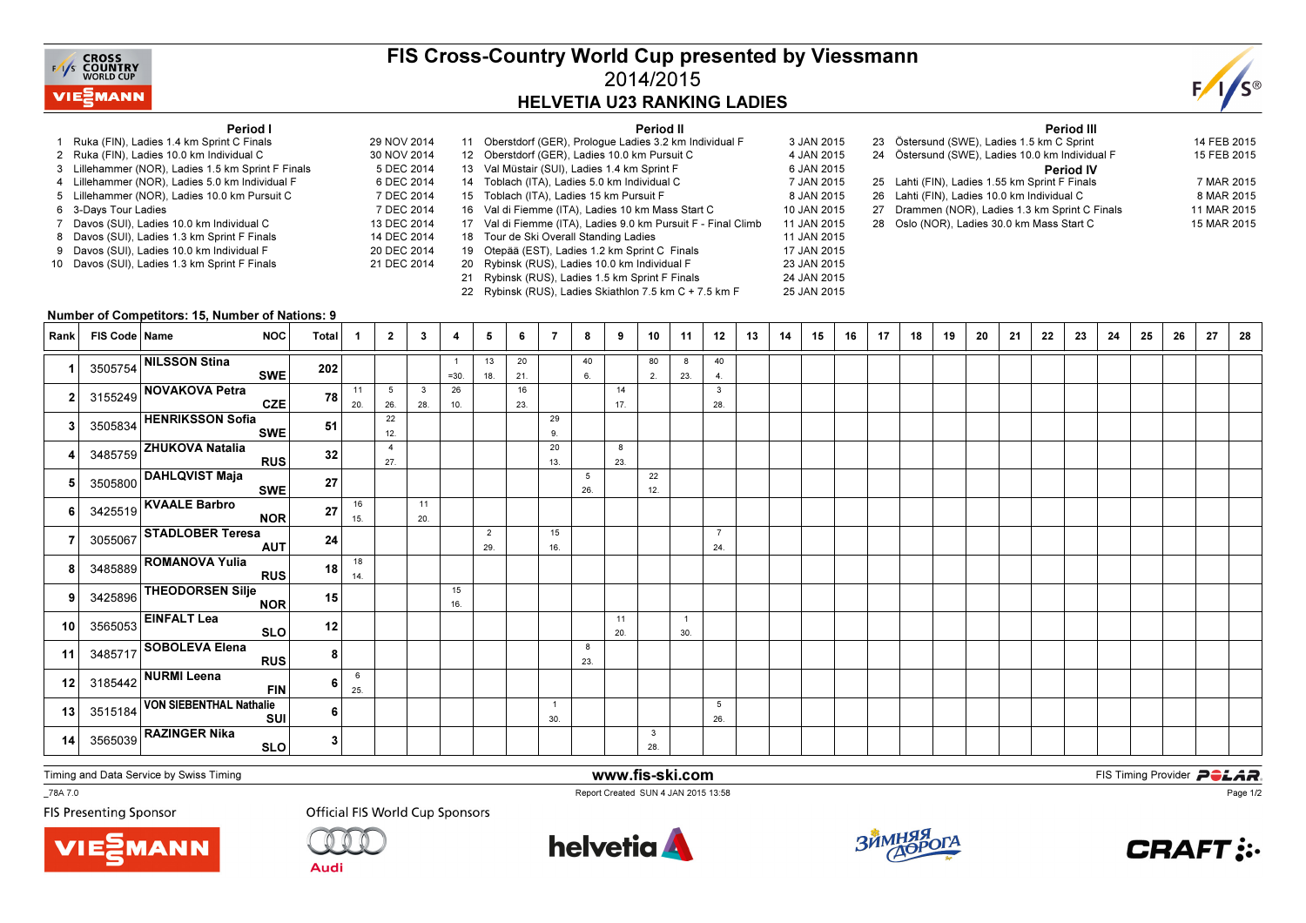

## FIS Cross-Country World Cup presented by Viessmann2014/2015HELVETIA U23 RANKING LADIES

25 JAN 2015



## Period I

- 1 Ruka (FIN), Ladies 1.4 km Sprint C Finals 29 NOV 20142 Ruka (FIN), Ladies 10.0 km Individual C
- 3 Lillehammer (NOR), Ladies 1.5 km Sprint F Finals
- 4 Lillehammer (NOR), Ladies 5.0 km Individual F
- 5 Lillehammer (NOR), Ladies 10.0 km Pursuit C
- s 7 DEC 2014 6 3-Days Tour Ladies
- 7 Davos (SUI), Ladies 10.0 km Individual C
- 8 Davos (SUI), Ladies 1.3 km Sprint F Finals
- 9 Davos (SUI), Ladies 10.0 km Individual F
- 10 Davos (SUI), Ladies 1.3 km Sprint F Finals

|             |    | Period II                                                     |             |
|-------------|----|---------------------------------------------------------------|-------------|
| 29 NOV 2014 |    | 11 Oberstdorf (GER), Prologue Ladies 3.2 km Individual F      | 3 JAN 2015  |
| 30 NOV 2014 |    | 12 Oberstdorf (GER), Ladies 10.0 km Pursuit C                 | 4 JAN 2015  |
| 5 DEC 2014  |    | 13 Val Müstair (SUI), Ladies 1.4 km Sprint F                  | 6 JAN 2015  |
| 6 DEC 2014  |    | 14 Toblach (ITA), Ladies 5.0 km Individual C                  | 7 JAN 2015  |
| 7 DEC 2014  |    | 15 Toblach (ITA), Ladies 15 km Pursuit F                      | 8 JAN 2015  |
| 7 DEC 2014  |    | 16 Val di Fiemme (ITA), Ladies 10 km Mass Start C             | 10 JAN 2015 |
| 13 DEC 2014 |    | 17 Val di Fiemme (ITA), Ladies 9.0 km Pursuit F - Final Climb | 11 JAN 2015 |
| 14 DEC 2014 |    | 18 Tour de Ski Overall Standing Ladies                        | 11 JAN 2015 |
| 20 DEC 2014 | 19 | Otepää (EST), Ladies 1.2 km Sprint C Finals                   | 17 JAN 2015 |
| 21 DEC 2014 | 20 | Rybinsk (RUS), Ladies 10.0 km Individual F                    | 23 JAN 2015 |
|             | 21 | Rybinsk (RUS), Ladies 1.5 km Sprint F Finals                  | 24 JAN 2015 |
|             |    |                                                               |             |

22 Rybinsk (RUS), Ladies Skiathlon 7.5 km C + 7.5 km F

|    | Period III                                      |             |
|----|-------------------------------------------------|-------------|
|    | 23 Östersund (SWE), Ladies 1.5 km C Sprint      | 14 FEB 2015 |
|    | 24 Östersund (SWE), Ladies 10.0 km Individual F | 15 FEB 2015 |
|    | <b>Period IV</b>                                |             |
|    | 25 Lahti (FIN), Ladies 1.55 km Sprint F Finals  | 7 MAR 2015  |
|    | 26 Lahti (FIN), Ladies 10.0 km Individual C     | 8 MAR 2015  |
| 27 | Drammen (NOR), Ladies 1.3 km Sprint C Finals    | 11 MAR 2015 |
|    | 28 Oslo (NOR), Ladies 30.0 km Mass Start C      | 15 MAR 2015 |
|    |                                                 |             |

## Number of Competitors: 15, Number of Nations: 9

| Rank | FIS Code   Name | NOC                                           | Total          | -1        | $\overline{2}$         | 3         | 4         | 5                     | 6         | $\overline{7}$      | 8        | 9         | 10                  | 11                    | 12                    | 13 | 14 | 15 | 16 | 17 | 18 | 19 | 20 | 21 | 22 | 23 | 24 | 25 | 26 | 27 | 28 |
|------|-----------------|-----------------------------------------------|----------------|-----------|------------------------|-----------|-----------|-----------------------|-----------|---------------------|----------|-----------|---------------------|-----------------------|-----------------------|----|----|----|----|----|----|----|----|----|----|----|----|----|----|----|----|
|      |                 | 3505754 NILSSON Stina<br>SWE                  | 202            |           |                        |           | $=30.$    | 13<br>18.             | 20<br>21. |                     | 40<br>6. |           | 80<br>2.            | 8<br>23.              | 40<br>4.              |    |    |    |    |    |    |    |    |    |    |    |    |    |    |    |    |
|      |                 | 3155249 NOVAKOVA Petra<br>CZE                 | 78             | 11<br>20. | $5\overline{5}$<br>26. | 3<br>28.  | 26<br>10. |                       | 16<br>23. |                     |          | 14<br>17. |                     |                       | $\mathbf{3}$<br>28.   |    |    |    |    |    |    |    |    |    |    |    |    |    |    |    |    |
|      |                 | 3505834 HENRIKSSON Sofia<br><b>SWE</b>        | 51             |           | 22<br>12.              |           |           |                       |           | 29<br>9.            |          |           |                     |                       |                       |    |    |    |    |    |    |    |    |    |    |    |    |    |    |    |    |
|      |                 | 3485759 ZHUKOVA Natalia<br>RUS                | 32             |           | $\overline{4}$<br>27.  |           |           |                       |           | 20<br>13.           |          | 8<br>23.  |                     |                       |                       |    |    |    |    |    |    |    |    |    |    |    |    |    |    |    |    |
|      |                 | 3505800 DAHLQVIST Maja<br>SWE                 | 27             |           |                        |           |           |                       |           |                     | 5<br>26. |           | 22<br>12.           |                       |                       |    |    |    |    |    |    |    |    |    |    |    |    |    |    |    |    |
|      |                 | 3425519 KVAALE Barbro<br>NOR                  | 27             | 16<br>15. |                        | 11<br>20. |           |                       |           |                     |          |           |                     |                       |                       |    |    |    |    |    |    |    |    |    |    |    |    |    |    |    |    |
|      |                 | 3055067 STADLOBER Teresa<br>AUT               | 24             |           |                        |           |           | $\overline{2}$<br>29. |           | 15<br>16.           |          |           |                     |                       | $\overline{7}$<br>24. |    |    |    |    |    |    |    |    |    |    |    |    |    |    |    |    |
|      |                 | 3485889 ROMANOVA Yulia<br>RUS                 | 18             | 18<br>14. |                        |           |           |                       |           |                     |          |           |                     |                       |                       |    |    |    |    |    |    |    |    |    |    |    |    |    |    |    |    |
|      |                 | 3425896 THEODORSEN Silje<br><b>NOR</b>        | 15             |           |                        |           | 15<br>16. |                       |           |                     |          |           |                     |                       |                       |    |    |    |    |    |    |    |    |    |    |    |    |    |    |    |    |
| 10   |                 | $3565053$ EINFALT Lea<br>SLO                  | 12             |           |                        |           |           |                       |           |                     |          | 11<br>20. |                     | $\overline{1}$<br>30. |                       |    |    |    |    |    |    |    |    |    |    |    |    |    |    |    |    |
| 11   |                 | 3485717 SOBOLEVA Elena<br>RUS                 | 8              |           |                        |           |           |                       |           |                     | 8<br>23. |           |                     |                       |                       |    |    |    |    |    |    |    |    |    |    |    |    |    |    |    |    |
| 12   |                 | $3185442$ NURMI Leena<br><b>FIN</b>           | 6              | 6<br>25.  |                        |           |           |                       |           |                     |          |           |                     |                       |                       |    |    |    |    |    |    |    |    |    |    |    |    |    |    |    |    |
| 13   |                 | 3515184 VON SIEBENTHAL Nathalie<br><b>SUI</b> | 6              |           |                        |           |           |                       |           | $\mathbf{1}$<br>30. |          |           |                     |                       | 5<br>26.              |    |    |    |    |    |    |    |    |    |    |    |    |    |    |    |    |
| 14   |                 | $3565039$ RAZINGER Nika<br>SLO                | 3 <sup>1</sup> |           |                        |           |           |                       |           |                     |          |           | $\mathbf{3}$<br>28. |                       |                       |    |    |    |    |    |    |    |    |    |    |    |    |    |    |    |    |

Timing and Data Service by Swiss Timing

\_78A 7.0

**FIS Presenting Sponsor** 

Report Created SUN 4 JAN 2015 13:58

www.fis-ski.com





**Official FIS World Cup Sponsors** 





**m**<br>FIS Timing Provider<br>F<sup>12-E9</sup>